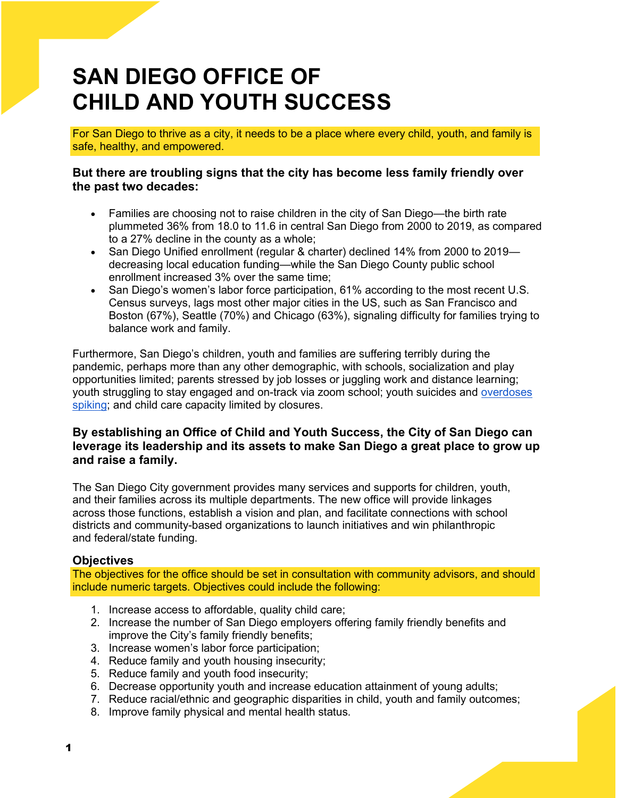# **SAN DIEGO OFFICE OF CHILD AND YOUTH SUCCESS**

For San Diego to thrive as a city, it needs to be a place where every child, youth, and family is safe, healthy, and empowered.

#### **But there are troubling signs that the city has become less family friendly over the past two decades:**

- Families are choosing not to raise children in the city of San Diego—the birth rate plummeted 36% from 18.0 to 11.6 in central San Diego from 2000 to 2019, as compared to a 27% decline in the county as a whole;
- San Diego Unified enrollment (regular & charter) declined 14% from 2000 to 2019 decreasing local education funding—while the San Diego County public school enrollment increased 3% over the same time;
- San Diego's women's labor force participation, 61% according to the most recent U.S. Census surveys, lags most other major cities in the US, such as San Francisco and Boston (67%), Seattle (70%) and Chicago (63%), signaling difficulty for families trying to balance work and family.

Furthermore, San Diego's children, youth and families are suffering terribly during the pandemic, perhaps more than any other demographic, with schools, socialization and play opportunities limited; parents stressed by job losses or juggling work and distance learning; youth struggling to stay engaged and on-track via zoom school; youth suicides and [overdoses](https://www.sandiegouniontribune.com/news/health/story/2020-11-28/overdoses-rise-pandemic-addiction-awareness-initiative)  [spiking;](https://www.sandiegouniontribune.com/news/health/story/2020-11-28/overdoses-rise-pandemic-addiction-awareness-initiative) and child care capacity limited by closures.

#### **By establishing an Office of Child and Youth Success, the City of San Diego can leverage its leadership and its assets to make San Diego a great place to grow up and raise a family.**

The San Diego City government provides many services and supports for children, youth, and their families across its multiple departments. The new office will provide linkages across those functions, establish a vision and plan, and facilitate connections with school districts and community-based organizations to launch initiatives and win philanthropic and federal/state funding.

## **Objectives**

The objectives for the office should be set in consultation with community advisors, and should include numeric targets. Objectives could include the following:

- 1. Increase access to affordable, quality child care;
- 2. Increase the number of San Diego employers offering family friendly benefits and improve the City's family friendly benefits;
- 3. Increase women's labor force participation;
- 4. Reduce family and youth housing insecurity;
- 5. Reduce family and youth food insecurity;
- 6. Decrease opportunity youth and increase education attainment of young adults;
- 7. Reduce racial/ethnic and geographic disparities in child, youth and family outcomes;
- 8. Improve family physical and mental health status.